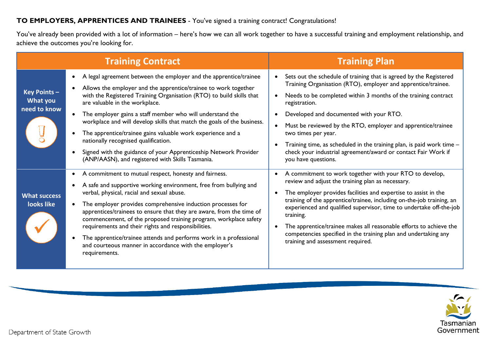## **TO EMPLOYERS, APPRENTICES AND TRAINEES** - You've signed a training contract! Congratulations!

You've already been provided with a lot of information – here's how we can all work together to have a successful training and employment relationship, and achieve the outcomes you're looking for.

|                                                 | <b>Training Contract</b>                                                                                                                                                                                                                                                                                                                                                                                                                                                                                                                                                                                                                                                  | <b>Training Plan</b>                                                                                                                                                                                                                                                                                                                                                                                                                                                                                                                   |
|-------------------------------------------------|---------------------------------------------------------------------------------------------------------------------------------------------------------------------------------------------------------------------------------------------------------------------------------------------------------------------------------------------------------------------------------------------------------------------------------------------------------------------------------------------------------------------------------------------------------------------------------------------------------------------------------------------------------------------------|----------------------------------------------------------------------------------------------------------------------------------------------------------------------------------------------------------------------------------------------------------------------------------------------------------------------------------------------------------------------------------------------------------------------------------------------------------------------------------------------------------------------------------------|
| Key Points -<br><b>What you</b><br>need to know | A legal agreement between the employer and the apprentice/trainee<br>$\bullet$<br>Allows the employer and the apprentice/trainee to work together<br>$\bullet$<br>with the Registered Training Organisation (RTO) to build skills that<br>are valuable in the workplace.<br>The employer gains a staff member who will understand the<br>$\bullet$<br>workplace and will develop skills that match the goals of the business.<br>The apprentice/trainee gains valuable work experience and a<br>nationally recognised qualification.<br>Signed with the guidance of your Apprenticeship Network Provider<br>$\bullet$<br>(ANP/AASN), and registered with Skills Tasmania. | Sets out the schedule of training that is agreed by the Registered<br>$\bullet$<br>Training Organisation (RTO), employer and apprentice/trainee.<br>Needs to be completed within 3 months of the training contract<br>registration.<br>Developed and documented with your RTO.<br>Must be reviewed by the RTO, employer and apprentice/trainee<br>two times per year.<br>Training time, as scheduled in the training plan, is paid work time -<br>check your industrial agreement/award or contact Fair Work if<br>you have questions. |
| <b>What success</b><br>looks like               | A commitment to mutual respect, honesty and fairness.<br>$\bullet$<br>A safe and supportive working environment, free from bullying and<br>$\bullet$<br>verbal, physical, racial and sexual abuse.<br>The employer provides comprehensive induction processes for<br>apprentices/trainees to ensure that they are aware, from the time of<br>commencement, of the proposed training program, workplace safety<br>requirements and their rights and responsibilities.<br>The apprentice/trainee attends and performs work in a professional<br>and courteous manner in accordance with the employer's<br>requirements.                                                     | A commitment to work together with your RTO to develop,<br>review and adjust the training plan as necessary.<br>The employer provides facilities and expertise to assist in the<br>training of the apprentice/trainee, including on-the-job training, an<br>experienced and qualified supervisor, time to undertake off-the-job<br>training.<br>The apprentice/trainee makes all reasonable efforts to achieve the<br>competencies specified in the training plan and undertaking any<br>training and assessment required.             |